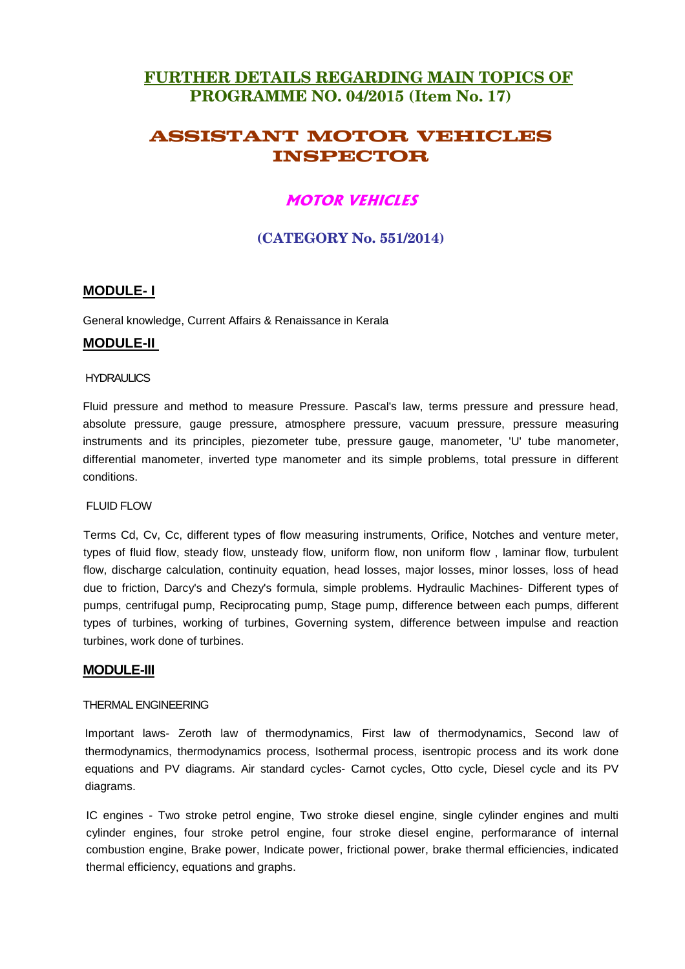# **FURTHER DETAILS REGARDING MAIN TOPICS OF PROGRAMME NO. 04/2015 (Item No. 17)**

# **ASSISTANT MOTOR VEHICLES INSPECTOR**

# **MOTOR VEHICLES**

# **(CATEGORY No. 551/2014)**

## **MODULE- I**

General knowledge, Current Affairs & Renaissance in Kerala

### **MODULE-II**

#### **HYDRAULICS**

Fluid pressure and method to measure Pressure. Pascal's law, terms pressure and pressure head, absolute pressure, gauge pressure, atmosphere pressure, vacuum pressure, pressure measuring instruments and its principles, piezometer tube, pressure gauge, manometer, 'U' tube manometer, differential manometer, inverted type manometer and its simple problems, total pressure in different conditions.

#### FLUID FLOW

Terms Cd, Cv, Cc, different types of flow measuring instruments, Orifice, Notches and venture meter, types of fluid flow, steady flow, unsteady flow, uniform flow, non uniform flow , laminar flow, turbulent flow, discharge calculation, continuity equation, head losses, major losses, minor losses, loss of head due to friction, Darcy's and Chezy's formula, simple problems. Hydraulic Machines- Different types of pumps, centrifugal pump, Reciprocating pump, Stage pump, difference between each pumps, different types of turbines, working of turbines, Governing system, difference between impulse and reaction turbines, work done of turbines.

#### **MODULE-III**

#### THERMAL ENGINEERING

Important laws- Zeroth law of thermodynamics, First law of thermodynamics, Second law of thermodynamics, thermodynamics process, Isothermal process, isentropic process and its work done equations and PV diagrams. Air standard cycles- Carnot cycles, Otto cycle, Diesel cycle and its PV diagrams.

IC engines - Two stroke petrol engine, Two stroke diesel engine, single cylinder engines and multi cylinder engines, four stroke petrol engine, four stroke diesel engine, performarance of internal combustion engine, Brake power, Indicate power, frictional power, brake thermal efficiencies, indicated thermal efficiency, equations and graphs.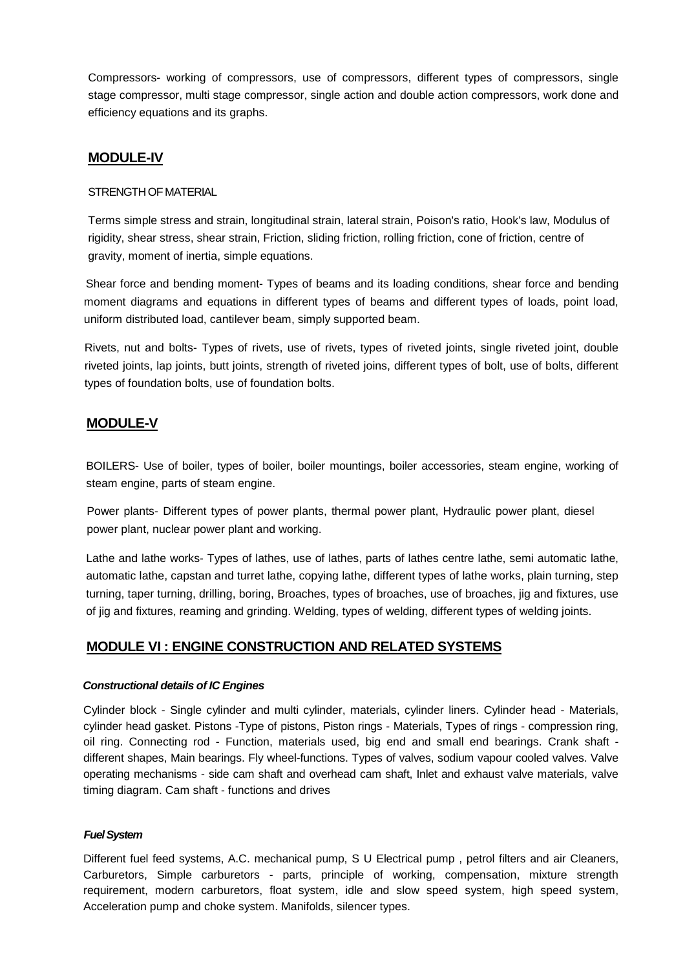Compressors- working of compressors, use of compressors, different types of compressors, single stage compressor, multi stage compressor, single action and double action compressors, work done and efficiency equations and its graphs.

## **MODULE-IV**

#### STRENGTH OF MATERIAL

Terms simple stress and strain, longitudinal strain, lateral strain, Poison's ratio, Hook's law, Modulus of rigidity, shear stress, shear strain, Friction, sliding friction, rolling friction, cone of friction, centre of gravity, moment of inertia, simple equations.

Shear force and bending moment- Types of beams and its loading conditions, shear force and bending moment diagrams and equations in different types of beams and different types of loads, point load, uniform distributed load, cantilever beam, simply supported beam.

Rivets, nut and bolts- Types of rivets, use of rivets, types of riveted joints, single riveted joint, double riveted joints, lap joints, butt joints, strength of riveted joins, different types of bolt, use of bolts, different types of foundation bolts, use of foundation bolts.

# **MODULE-V**

BOILERS- Use of boiler, types of boiler, boiler mountings, boiler accessories, steam engine, working of steam engine, parts of steam engine.

Power plants- Different types of power plants, thermal power plant, Hydraulic power plant, diesel power plant, nuclear power plant and working.

Lathe and lathe works- Types of lathes, use of lathes, parts of lathes centre lathe, semi automatic lathe, automatic lathe, capstan and turret lathe, copying lathe, different types of lathe works, plain turning, step turning, taper turning, drilling, boring, Broaches, types of broaches, use of broaches, jig and fixtures, use of jig and fixtures, reaming and grinding. Welding, types of welding, different types of welding joints.

## **MODULE VI : ENGINE CONSTRUCTION AND RELATED SYSTEMS**

#### **Constructional details of IC Engines**

Cylinder block - Single cylinder and multi cylinder, materials, cylinder liners. Cylinder head - Materials, cylinder head gasket. Pistons -Type of pistons, Piston rings - Materials, Types of rings - compression ring, oil ring. Connecting rod - Function, materials used, big end and small end bearings. Crank shaft different shapes, Main bearings. Fly wheel-functions. Types of valves, sodium vapour cooled valves. Valve operating mechanisms - side cam shaft and overhead cam shaft, Inlet and exhaust valve materials, valve timing diagram. Cam shaft - functions and drives

#### **Fuel System**

Different fuel feed systems, A.C. mechanical pump, S U Electrical pump , petrol filters and air Cleaners, Carburetors, Simple carburetors - parts, principle of working, compensation, mixture strength requirement, modern carburetors, float system, idle and slow speed system, high speed system, Acceleration pump and choke system. Manifolds, silencer types.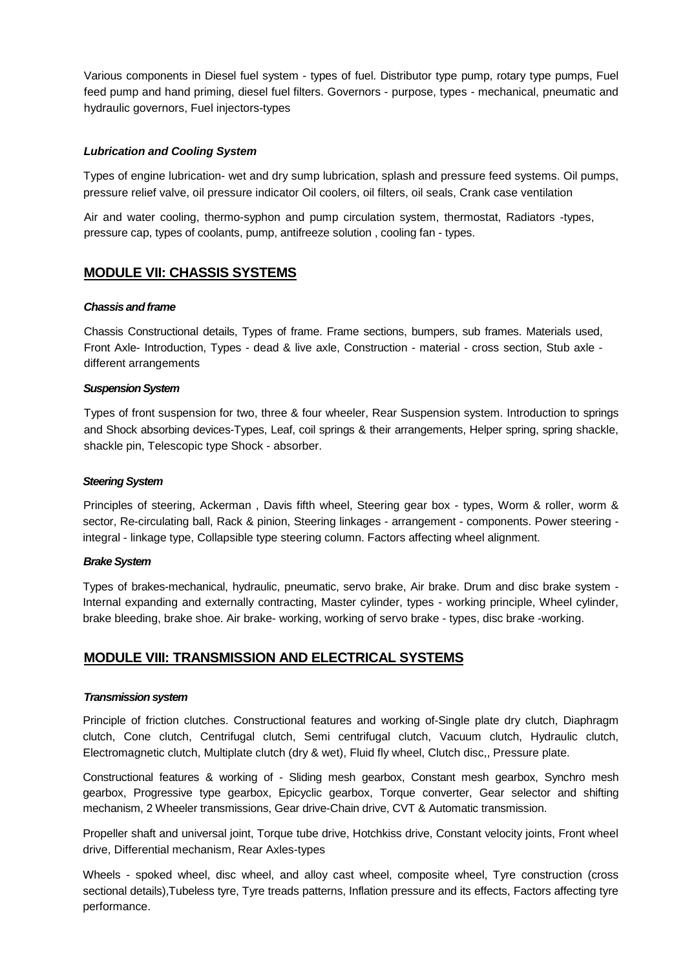Various components in Diesel fuel system - types of fuel. Distributor type pump, rotary type pumps, Fuel feed pump and hand priming, diesel fuel filters. Governors - purpose, types - mechanical, pneumatic and hydraulic governors, Fuel injectors-types

#### **Lubrication and Cooling System**

Types of engine lubrication- wet and dry sump lubrication, splash and pressure feed systems. Oil pumps, pressure relief valve, oil pressure indicator Oil coolers, oil filters, oil seals, Crank case ventilation

Air and water cooling, thermo-syphon and pump circulation system, thermostat, Radiators -types, pressure cap, types of coolants, pump, antifreeze solution , cooling fan - types.

## **MODULE VII: CHASSIS SYSTEMS**

#### **Chassis and frame**

Chassis Constructional details, Types of frame. Frame sections, bumpers, sub frames. Materials used, Front Axle- Introduction, Types - dead & live axle, Construction - material - cross section, Stub axle different arrangements

#### **Suspension System**

Types of front suspension for two, three & four wheeler, Rear Suspension system. Introduction to springs and Shock absorbing devices-Types, Leaf, coil springs & their arrangements, Helper spring, spring shackle, shackle pin, Telescopic type Shock - absorber.

#### **Steering System**

Principles of steering, Ackerman , Davis fifth wheel, Steering gear box - types, Worm & roller, worm & sector, Re-circulating ball, Rack & pinion, Steering linkages - arrangement - components. Power steering integral - linkage type, Collapsible type steering column. Factors affecting wheel alignment.

#### **Brake System**

Types of brakes-mechanical, hydraulic, pneumatic, servo brake, Air brake. Drum and disc brake system - Internal expanding and externally contracting, Master cylinder, types - working principle, Wheel cylinder, brake bleeding, brake shoe. Air brake- working, working of servo brake - types, disc brake -working.

## **MODULE VIII: TRANSMISSION AND ELECTRICAL SYSTEMS**

#### **Transmission system**

Principle of friction clutches. Constructional features and working of-Single plate dry clutch, Diaphragm clutch, Cone clutch, Centrifugal clutch, Semi centrifugal clutch, Vacuum clutch, Hydraulic clutch, Electromagnetic clutch, Multiplate clutch (dry & wet), Fluid fly wheel, Clutch disc,, Pressure plate.

Constructional features & working of - Sliding mesh gearbox, Constant mesh gearbox, Synchro mesh gearbox, Progressive type gearbox, Epicyclic gearbox, Torque converter, Gear selector and shifting mechanism, 2 Wheeler transmissions, Gear drive-Chain drive, CVT & Automatic transmission.

Propeller shaft and universal joint, Torque tube drive, Hotchkiss drive, Constant velocity joints, Front wheel drive, Differential mechanism, Rear Axles-types

Wheels - spoked wheel, disc wheel, and alloy cast wheel, composite wheel, Tyre construction (cross sectional details),Tubeless tyre, Tyre treads patterns, Inflation pressure and its effects, Factors affecting tyre performance.